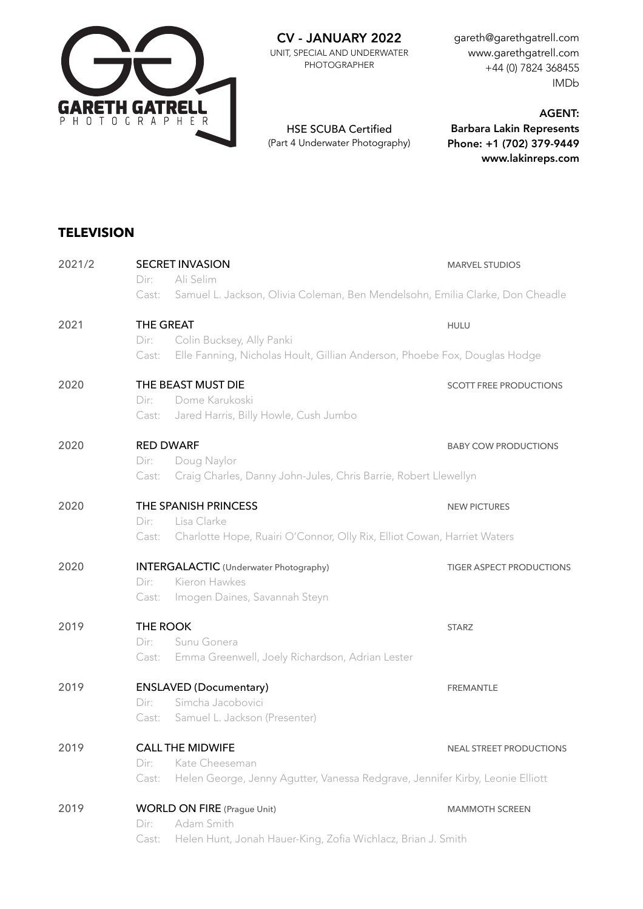

CV - JANUARY 2022

UNIT, SPECIAL AND UNDERWATER PHOTOGRAPHER

gareth@garethgatrell.com www.garethgatrell.com +44 (0) 7824 368455 IMDb

HSE SCUBA Certified (Part 4 Underwater Photography)

AGENT: Barbara Lakin Represents Phone: +1 (702) 379-9449 www.lakinreps.com

## **TELEVISION**

| 2021/2 | <b>SECRET INVASION</b>                                                                 | <b>MARVEL STUDIOS</b>           |  |  |  |
|--------|----------------------------------------------------------------------------------------|---------------------------------|--|--|--|
|        | Ali Selim<br>Dir:                                                                      |                                 |  |  |  |
|        | Samuel L. Jackson, Olivia Coleman, Ben Mendelsohn, Emilia Clarke, Don Cheadle<br>Cast: |                                 |  |  |  |
| 2021   | THE GREAT                                                                              | <b>HULU</b>                     |  |  |  |
|        | Colin Bucksey, Ally Panki<br>Dir:                                                      |                                 |  |  |  |
|        | Elle Fanning, Nicholas Hoult, Gillian Anderson, Phoebe Fox, Douglas Hodge<br>Cast:     |                                 |  |  |  |
| 2020   | THE BEAST MUST DIE                                                                     | <b>SCOTT FREE PRODUCTIONS</b>   |  |  |  |
|        | Dome Karukoski<br>Dir:                                                                 |                                 |  |  |  |
|        | Jared Harris, Billy Howle, Cush Jumbo<br>Cast:                                         |                                 |  |  |  |
| 2020   | <b>RED DWARF</b>                                                                       | <b>BABY COW PRODUCTIONS</b>     |  |  |  |
|        | Dir:<br>Doug Naylor                                                                    |                                 |  |  |  |
|        | Craig Charles, Danny John-Jules, Chris Barrie, Robert Llewellyn<br>Cast:               |                                 |  |  |  |
| 2020   | THE SPANISH PRINCESS                                                                   | <b>NEW PICTURES</b>             |  |  |  |
|        | Lisa Clarke<br>Dir:                                                                    |                                 |  |  |  |
|        | Charlotte Hope, Ruairi O'Connor, Olly Rix, Elliot Cowan, Harriet Waters<br>Cast:       |                                 |  |  |  |
| 2020   | <b>INTERGALACTIC</b> (Underwater Photography)                                          | <b>TIGER ASPECT PRODUCTIONS</b> |  |  |  |
|        | Kieron Hawkes<br>Dir:                                                                  |                                 |  |  |  |
|        | Imogen Daines, Savannah Steyn<br>Cast:                                                 |                                 |  |  |  |
| 2019   | THE ROOK                                                                               | <b>STARZ</b>                    |  |  |  |
|        | Sunu Gonera<br>Dir:                                                                    |                                 |  |  |  |
|        | Emma Greenwell, Joely Richardson, Adrian Lester<br>Cast:                               |                                 |  |  |  |
| 2019   | <b>ENSLAVED (Documentary)</b>                                                          | <b>FREMANTLE</b>                |  |  |  |
|        | Simcha Jacobovici<br>Dir:                                                              |                                 |  |  |  |
|        | Samuel L. Jackson (Presenter)<br>Cast:                                                 |                                 |  |  |  |
| 2019   | <b>CALL THE MIDWIFE</b>                                                                | <b>NEAL STREET PRODUCTIONS</b>  |  |  |  |
|        | Kate Cheeseman<br>Dir:                                                                 |                                 |  |  |  |
|        | Helen George, Jenny Agutter, Vanessa Redgrave, Jennifer Kirby, Leonie Elliott<br>Cast: |                                 |  |  |  |
| 2019   | <b>WORLD ON FIRE</b> (Prague Unit)                                                     | <b>MAMMOTH SCREEN</b>           |  |  |  |
|        | Adam Smith<br>Dir:                                                                     |                                 |  |  |  |
|        | Helen Hunt, Jonah Hauer-King, Zofia Wichlacz, Brian J. Smith<br>Cast:                  |                                 |  |  |  |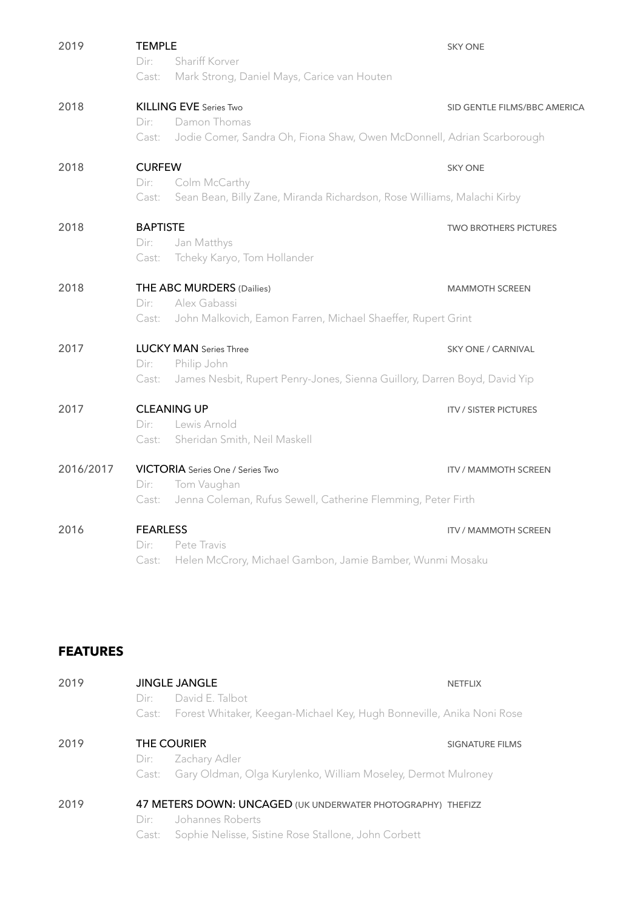| 2019      | <b>TEMPLE</b><br>Shariff Korver<br>Dir:<br>Mark Strong, Daniel Mays, Carice van Houten<br>Cast:           | <b>SKY ONE</b>               |  |  |  |
|-----------|-----------------------------------------------------------------------------------------------------------|------------------------------|--|--|--|
| 2018      | <b>KILLING EVE Series Two</b><br>Damon Thomas<br>Dir:                                                     | SID GENTLE FILMS/BBC AMERICA |  |  |  |
|           | Jodie Comer, Sandra Oh, Fiona Shaw, Owen McDonnell, Adrian Scarborough<br>Cast:                           |                              |  |  |  |
| 2018      | <b>CURFEW</b>                                                                                             | <b>SKY ONE</b>               |  |  |  |
|           | Dir:<br>Colm McCarthy<br>Sean Bean, Billy Zane, Miranda Richardson, Rose Williams, Malachi Kirby<br>Cast: |                              |  |  |  |
| 2018      | <b>BAPTISTE</b>                                                                                           | <b>TWO BROTHERS PICTURES</b> |  |  |  |
|           | Jan Matthys<br>Dir:<br>Tcheky Karyo, Tom Hollander<br>Cast:                                               |                              |  |  |  |
| 2018      | THE ABC MURDERS (Dailies)                                                                                 | <b>MAMMOTH SCREEN</b>        |  |  |  |
|           | Alex Gabassi<br>Dir:<br>John Malkovich, Eamon Farren, Michael Shaeffer, Rupert Grint<br>Cast:             |                              |  |  |  |
| 2017      | <b>LUCKY MAN</b> Series Three                                                                             | <b>SKY ONE / CARNIVAL</b>    |  |  |  |
|           | Dir:<br>Philip John<br>James Nesbit, Rupert Penry-Jones, Sienna Guillory, Darren Boyd, David Yip<br>Cast: |                              |  |  |  |
| 2017      | <b>CLEANING UP</b>                                                                                        | <b>ITV / SISTER PICTURES</b> |  |  |  |
|           | Lewis Arnold<br>Dir:<br>Sheridan Smith, Neil Maskell<br>Cast:                                             |                              |  |  |  |
|           |                                                                                                           |                              |  |  |  |
| 2016/2017 | <b>VICTORIA</b> Series One / Series Two                                                                   | <b>ITV / MAMMOTH SCREEN</b>  |  |  |  |
|           | Tom Vaughan<br>Dir:<br>Jenna Coleman, Rufus Sewell, Catherine Flemming, Peter Firth<br>Cast:              |                              |  |  |  |
| 2016      | <b>FEARLESS</b>                                                                                           | <b>ITV / MAMMOTH SCREEN</b>  |  |  |  |
|           | Dir:<br>Pete Travis                                                                                       |                              |  |  |  |
|           | Helen McCrory, Michael Gambon, Jamie Bamber, Wunmi Mosaku<br>Cast:                                        |                              |  |  |  |

## **FEATURES**

| 2019 | <b>JINGLE JANGLE</b>                                        |                                                                             | <b>NETFLIX</b>  |  |
|------|-------------------------------------------------------------|-----------------------------------------------------------------------------|-----------------|--|
|      | Dir:                                                        | David E. Talbot                                                             |                 |  |
|      |                                                             | Cast: Forest Whitaker, Keegan-Michael Key, Hugh Bonneville, Anika Noni Rose |                 |  |
| 2019 |                                                             | THE COURIER                                                                 | SIGNATURE FILMS |  |
|      | Dir:                                                        | Zachary Adler                                                               |                 |  |
|      | Cast:                                                       | Gary Oldman, Olga Kurylenko, William Moseley, Dermot Mulroney               |                 |  |
| 2019 | 47 METERS DOWN: UNCAGED (UK UNDERWATER PHOTOGRAPHY) THEFIZZ |                                                                             |                 |  |
|      | Dir:                                                        | Johannes Roberts                                                            |                 |  |
|      |                                                             | Cast: Sophie Nelisse, Sistine Rose Stallone, John Corbett                   |                 |  |